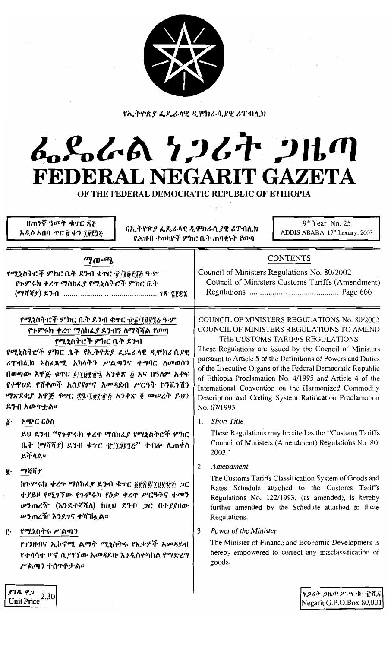

የኢትዮጵያ ፌዴራላዊ ዲሞክራሲያዊ ሪፐብሊክ

## んとんとめ とつとれ つはの FEDERAL NEGARIT GAZETA

OF THE FEDERAL DEMOCRATIC REPUBLIC OF ETHIOPIA

ዘጠነኛ ዓመት ቁጥር ጽጅ  $9<sup>th</sup> Year$  No. 25 በኢትዮጵያ ፌዴራላዊ ዲሞክራሲያዊ ሪፐብሊክ አዲስ አበባ–ተር ፱ ቀን ፲፱፻፺፩ ADDIS ABABA-17st January, 2003 የሕዝብ ተወካዮች ምክር ቤት ጠባቂነት የወጣ **CONTENTS** ማውጫ Council of Ministers Regulations No. 80/2002 የሚኒስትሮች ምክር ቤት ዶንብ ቁጥር ፹/፲፱፻፺፩ ዓ·ም Council of Ministers Customs Tariffs (Amendment) የጉምሩክ ቀረጥ ማስከፌያ የሚኒስትሮች ምክር ቤት የሚኒስትሮች ምክር ቤት ደንብ ቁጥር ፹፩/፲፱፻፺፩ ዓ.ም COUNCIL OF MINISTERS REGULATIONS No. 80/2002 COUNCIL OF MINISTERS REGULATIONS TO AMEND የጉምሩክ ቀረጥ ማስከፈያ ደንብን ለማሻሻል የወጣ THE CUSTOMS TARIFFS REGULATIONS የሚኒስትሮች ምክር ቤት ዶንብ These Regulations are issued by the Council of Ministers የሚኒስትሮች ምክር ቤት የኢትዮጵያ ፌዴራላዊ ዲሞክራሲያዊ pursuant to Article 5 of the Definitions of Powers and Duties ሪፐብሊክ አስፈጻሚ አካላትን ሥልጣንና ተግባር ለመወሰን of the Executive Organs of the Federal Democratic Republic በወጣው አዋጅ ቁጥር ፬/፲፱፻፹፯ አንቀጽ ፩ እና በዓለም አቀፍ of Ethiopia Proclamation No. 4/1995 and Article 4 of the የተዋሀደ የሸቀጦች አሰያየምና አመጻደብ ሥርዓት ኮንቬንሽን International Convention on the Harmonized Commodity ማጽዶቂያ አዋጅ ቁጥር ፰፯/፲፱፻፹፩ አንቀጽ ፬ መሠረት ይህን Description and Coding System Ratification Proclamation ደንብ አውዋቷል። No. 67/1993. ፩· አጭር ርዕስ 1. Short Title These Regulations may be cited as the "Customs Tariffs" ይህ ደንብ ''የጉምሩክ ቀረጥ ማስከፈያ የሚኒስትሮች ምክር Council of Ministers (Amendment) Regulations No. 80/ ቤት (ማሻሻያ) ደንብ ቁጥር  $\hat{\pi}/\hat{\mu}$ ጀደንሬ'' ተብሎ ሲጠቀስ  $2003"$ ይተላል።  $2.$ Amendment  $g.$  ማሻሻያ The Customs Tariffs Classification System of Goods and ከጉምሩክ ቀረጥ ማስከፌያ ደንብ ቁጥር ፩፻፳፪/፲፱፻፹፭ ጋር Rates Schedule attached to the Customs Tariffs ተያይዞ የሚገኘው የጉምሩክ የዕቃ ቀረጥ ሥርዓትና ተመን Regulations No. 122/1993, (as amended), is hereby ሥንጠረዥ (እንደተሻሻለ) ከዚህ ደንብ *ጋ*ር በተያያዘው further amended by the Schedule attached to these ሥንጠረዥ እንደገና ተሻሽሏል። Regulations. 3. Power of the Minister ፫· *የሚኒ*ስትሩ ሥልጣን The Minister of Finance and Economic Development is የ1ንዘብና ኢኮኖሚ ልማት ሚኒስትሩ የእቃዎች አመጻደብ hereby empowered to correct any misclassification of የተሳሳተ ሆኖ ሲያገኘው አመዳደቡ እንዲስተካከል የማድረግ goods. ሥልጣን ተሰጥቶታል።

 $574$   $72$ <br>Unit Price 2.30